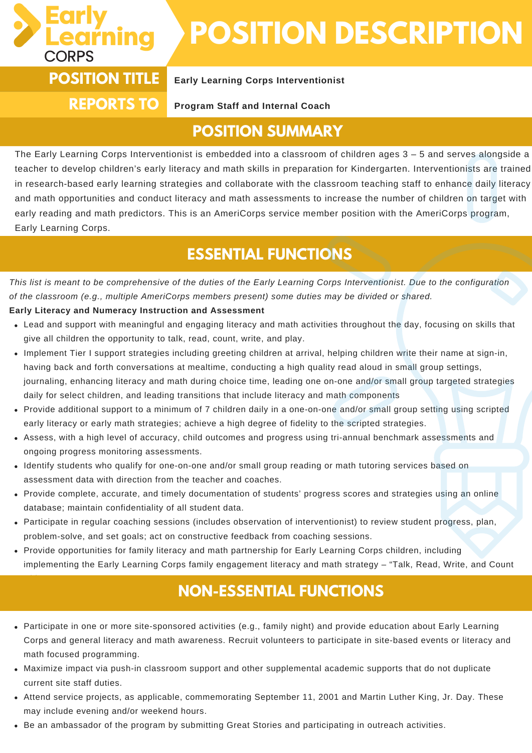

with Me.<br>"With Me

## **POSITION DESCRIPTION**

# **REPORTS TO**

#### **POSITION TITLE Early Learning Corps Interventionist**

**Program Staff and Internal Coach**

#### **POSITION SUMMARY**

The Early Learning Corps Interventionist is embedded into a classroom of children ages 3 – 5 and serves alongside a teacher to develop children's early literacy and math skills in preparation for Kindergarten. Interventionists are trained in research-based early learning strategies and collaborate with the classroom teaching staff to enhance daily literacy and math opportunities and conduct literacy and math assessments to increase the number of children on target with early reading and math predictors. This is an AmeriCorps service member position with the AmeriCorps program, Early Learning Corps.

### **ESSENTIAL FUNCTIONS**

This list is meant to be comprehensive of the duties of the Early Learning Corps Interventionist. Due to the configuration *of the classroom (e.g., multiple AmeriCorps members present) some duties may be divided or shared.*

#### **Early Literacy and Numeracy Instruction and Assessment**

- Lead and support with meaningful and engaging literacy and math activities throughout the day, focusing on skills that give all children the opportunity to talk, read, count, write, and play.
- Implement Tier I support strategies including greeting children at arrival, helping children write their name at sign-in, having back and forth conversations at mealtime, conducting a high quality read aloud in small group settings, journaling, enhancing literacy and math during choice time, leading one on-one and/or small group targeted strategies daily for select children, and leading transitions that include literacy and math components
- Provide additional support to a minimum of 7 children daily in a one-on-one and/or small group setting using scripted early literacy or early math strategies; achieve a high degree of fidelity to the scripted strategies.
- Assess, with a high level of accuracy, child outcomes and progress using tri-annual benchmark assessments and ongoing progress monitoring assessments.
- Identify students who qualify for one-on-one and/or small group reading or math tutoring services based on assessment data with direction from the teacher and coaches.
- Provide complete, accurate, and timely documentation of students' progress scores and strategies using an online database; maintain confidentiality of all student data.
- Participate in regular coaching sessions (includes observation of interventionist) to review student progress, plan, problem-solve, and set goals; act on constructive feedback from coaching sessions.
- Provide opportunities for family literacy and math partnership for Early Learning Corps children, including implementing the Early Learning Corps family engagement literacy and math strategy – "Talk, Read, Write, and Count

#### **NON-ESSENTIAL FUNCTIONS**

- Participate in one or more site-sponsored activities (e.g., family night) and provide education about Early Learning Corps and general literacy and math awareness. Recruit volunteers to participate in site-based events or literacy and math focused programming.
- Maximize impact via push-in classroom support and other supplemental academic supports that do not duplicate current site staff duties.
- Attend service projects, as applicable, commemorating September 11, 2001 and Martin Luther King, Jr. Day. These may include evening and/or weekend hours.
- Be an ambassador of the program by submitting Great Stories and participating in outreach activities.